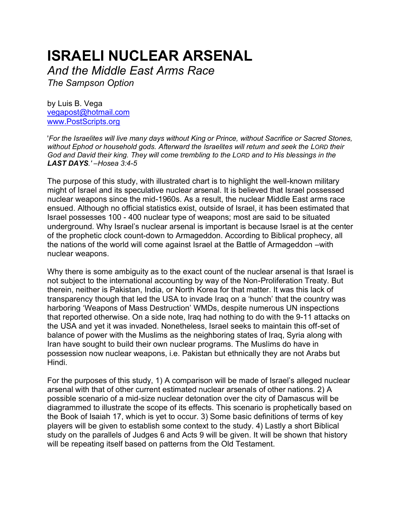# **ISRAELI NUCLEAR ARSENAL**

*And the Middle East Arms Race*

*The Sampson Option*

by Luis B. Vega [vegapost@hotmail.com](mailto:vegapost@hotmail.com) [www.PostScripts.org](http://www.postscripts.org/)

'*For the Israelites will live many days without King or Prince, without Sacrifice or Sacred Stones, without Ephod or household gods. Afterward the Israelites will return and seek the LORD their God and David their king. They will come trembling to the LORD and to His blessings in the LAST DAYS.' –Hosea 3:4-5*

The purpose of this study, with illustrated chart is to highlight the well-known military might of Israel and its speculative nuclear arsenal. It is believed that Israel possessed nuclear weapons since the mid-1960s. As a result, the nuclear Middle East arms race ensued. Although no official statistics exist, outside of Israel, it has been estimated that Israel possesses 100 - 400 nuclear type of weapons; most are said to be situated underground. Why Israel's nuclear arsenal is important is because Israel is at the center of the prophetic clock count-down to Armageddon. According to Biblical prophecy, all the nations of the world will come against Israel at the Battle of Armageddon –with nuclear weapons.

Why there is some ambiguity as to the exact count of the nuclear arsenal is that Israel is not subject to the international accounting by way of the Non-Proliferation Treaty. But therein, neither is Pakistan, India, or North Korea for that matter. It was this lack of transparency though that led the USA to invade Iraq on a 'hunch' that the country was harboring 'Weapons of Mass Destruction' WMDs, despite numerous UN inspections that reported otherwise. On a side note, Iraq had nothing to do with the 9-11 attacks on the USA and yet it was invaded. Nonetheless, Israel seeks to maintain this off-set of balance of power with the Muslims as the neighboring states of Iraq, Syria along with Iran have sought to build their own nuclear programs. The Muslims do have in possession now nuclear weapons, i.e. Pakistan but ethnically they are not Arabs but Hindi.

For the purposes of this study, 1) A comparison will be made of Israel's alleged nuclear arsenal with that of other current estimated nuclear arsenals of other nations. 2) A possible scenario of a mid-size nuclear detonation over the city of Damascus will be diagrammed to illustrate the scope of its effects. This scenario is prophetically based on the Book of Isaiah 17, which is yet to occur. 3) Some basic definitions of terms of key players will be given to establish some context to the study. 4) Lastly a short Biblical study on the parallels of Judges 6 and Acts 9 will be given. It will be shown that history will be repeating itself based on patterns from the Old Testament.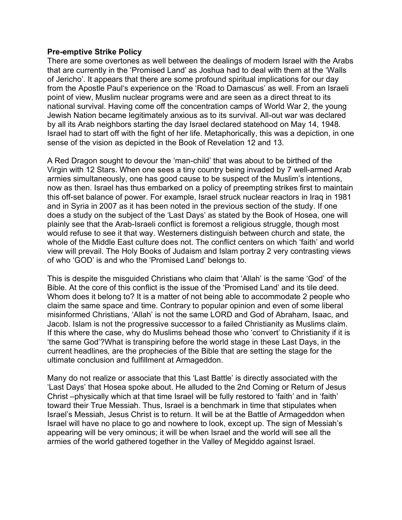## **Pre-emptive Strike Policy**

There are some overtones as well between the dealings of modern Israel with the Arabs that are currently in the 'Promised Land' as Joshua had to deal with them at the 'Walls of Jericho'. It appears that there are some profound spiritual implications for our day from the Apostle Paul's experience on the 'Road to Damascus' as well. From an Israeli point of view, Muslim nuclear programs were and are seen as a direct threat to its national survival. Having come off the concentration camps of World War 2, the young Jewish Nation became legitimately anxious as to its survival. All-out war was declared by all its Arab neighbors starting the day Israel declared statehood on May 14, 1948. Israel had to start off with the fight of her life. Metaphorically, this was a depiction, in one sense of the vision as depicted in the Book of Revelation 12 and 13.

A Red Dragon sought to devour the 'man-child' that was about to be birthed of the Virgin with 12 Stars. When one sees a tiny country being invaded by 7 well-armed Arab armies simultaneously, one has good cause to be suspect of the Muslim's intentions, now as then. Israel has thus embarked on a policy of preempting strikes first to maintain this off-set balance of power. For example, Israel struck nuclear reactors in Iraq in 1981 and in Syria in 2007 as it has been noted in the previous section of the study. If one does a study on the subject of the 'Last Days' as stated by the Book of Hosea, one will plainly see that the Arab-Israeli conflict is foremost a religious struggle, though most would refuse to see it that way. Westerners distinguish between church and state, the whole of the Middle East culture does not. The conflict centers on which 'faith' and world view will prevail. The Holy Books of Judaism and Islam portray 2 very contrasting views of who 'GOD' is and who the 'Promised Land' belongs to.

This is despite the misguided Christians who claim that 'Allah' is the same 'God' of the Bible. At the core of this conflict is the issue of the 'Promised Land' and its tile deed. Whom does it belong to? It is a matter of not being able to accommodate 2 people who claim the same space and time. Contrary to popular opinion and even of some liberal misinformed Christians, 'Allah' is not the same LORD and God of Abraham, Isaac, and Jacob. Islam is not the progressive successor to a failed Christianity as Muslims claim. If this where the case, why do Muslims behead those who 'convert' to Christianity if it is 'the same God'?What is transpiring before the world stage in these Last Days, in the current headlines, are the prophecies of the Bible that are setting the stage for the ultimate conclusion and fulfillment at Armageddon.

Many do not realize or associate that this 'Last Battle' is directly associated with the 'Last Days' that Hosea spoke about. He alluded to the 2nd Coming or Return of Jesus Christ –physically which at that time Israel will be fully restored to 'faith' and in 'faith' toward their True Messiah. Thus, Israel is a benchmark in time that stipulates when Israel's Messiah, Jesus Christ is to return. It will be at the Battle of Armageddon when Israel will have no place to go and nowhere to look, except up. The sign of Messiah's appearing will be very ominous; it will be when Israel and the world will see all the armies of the world gathered together in the Valley of Megiddo against Israel.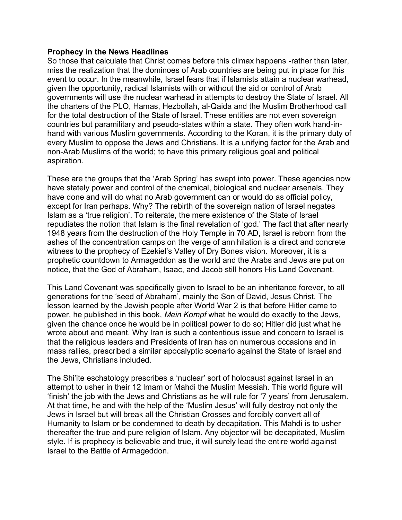## **Prophecy in the News Headlines**

So those that calculate that Christ comes before this climax happens -rather than later, miss the realization that the dominoes of Arab countries are being put in place for this event to occur. In the meanwhile, Israel fears that if Islamists attain a nuclear warhead, given the opportunity, radical Islamists with or without the aid or control of Arab governments will use the nuclear warhead in attempts to destroy the State of Israel. All the charters of the PLO, Hamas, Hezbollah, al-Qaida and the Muslim Brotherhood call for the total destruction of the State of Israel. These entities are not even sovereign countries but paramilitary and pseudo-states within a state. They often work hand-inhand with various Muslim governments. According to the Koran, it is the primary duty of every Muslim to oppose the Jews and Christians. It is a unifying factor for the Arab and non-Arab Muslims of the world; to have this primary religious goal and political aspiration.

These are the groups that the 'Arab Spring' has swept into power. These agencies now have stately power and control of the chemical, biological and nuclear arsenals. They have done and will do what no Arab government can or would do as official policy, except for Iran perhaps. Why? The rebirth of the sovereign nation of Israel negates Islam as a 'true religion'. To reiterate, the mere existence of the State of Israel repudiates the notion that Islam is the final revelation of 'god.' The fact that after nearly 1948 years from the destruction of the Holy Temple in 70 AD, Israel is reborn from the ashes of the concentration camps on the verge of annihilation is a direct and concrete witness to the prophecy of Ezekiel's Valley of Dry Bones vision. Moreover, it is a prophetic countdown to Armageddon as the world and the Arabs and Jews are put on notice, that the God of Abraham, Isaac, and Jacob still honors His Land Covenant.

This Land Covenant was specifically given to Israel to be an inheritance forever, to all generations for the 'seed of Abraham', mainly the Son of David, Jesus Christ. The lesson learned by the Jewish people after World War 2 is that before Hitler came to power, he published in this book, *Mein Kompf* what he would do exactly to the Jews, given the chance once he would be in political power to do so; Hitler did just what he wrote about and meant. Why Iran is such a contentious issue and concern to Israel is that the religious leaders and Presidents of Iran has on numerous occasions and in mass rallies, prescribed a similar apocalyptic scenario against the State of Israel and the Jews, Christians included.

The Shi'ite eschatology prescribes a 'nuclear' sort of holocaust against Israel in an attempt to usher in their 12 Imam or Mahdi the Muslim Messiah. This world figure will 'finish' the job with the Jews and Christians as he will rule for '7 years' from Jerusalem. At that time, he and with the help of the 'Muslim Jesus' will fully destroy not only the Jews in Israel but will break all the Christian Crosses and forcibly convert all of Humanity to Islam or be condemned to death by decapitation. This Mahdi is to usher thereafter the true and pure religion of Islam. Any objector will be decapitated, Muslim style. If is prophecy is believable and true, it will surely lead the entire world against Israel to the Battle of Armageddon.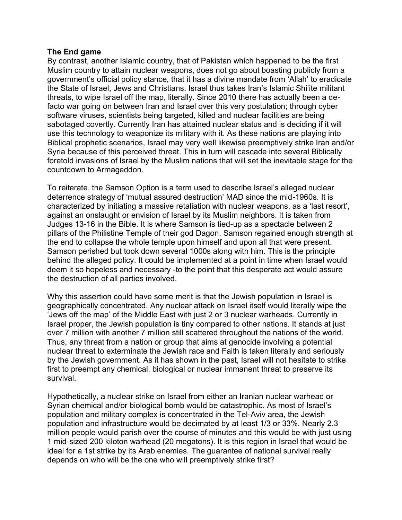# **The End game**

By contrast, another Islamic country, that of Pakistan which happened to be the first Muslim country to attain nuclear weapons, does not go about boasting publicly from a government's official policy stance, that it has a divine mandate from 'Allah' to eradicate the State of Israel, Jews and Christians. Israel thus takes Iran's Islamic Shi'ite militant threats, to wipe Israel off the map, literally. Since 2010 there has actually been a defacto war going on between Iran and Israel over this very postulation; through cyber software viruses, scientists being targeted, killed and nuclear facilities are being sabotaged covertly. Currently Iran has attained nuclear status and is deciding if it will use this technology to weaponize its military with it. As these nations are playing into Biblical prophetic scenarios, Israel may very well likewise preemptively strike Iran and/or Syria because of this perceived threat. This in turn will cascade into several Biblically foretold invasions of Israel by the Muslim nations that will set the inevitable stage for the countdown to Armageddon.

To reiterate, the Samson Option is a term used to describe Israel's alleged nuclear deterrence strategy of 'mutual assured destruction' MAD since the mid-1960s. It is characterized by initiating a massive retaliation with nuclear weapons, as a 'last resort', against an onslaught or envision of Israel by its Muslim neighbors. It is taken from Judges 13-16 in the Bible. It is where Samson is tied-up as a spectacle between 2 pillars of the Philistine Temple of their god Dagon. Samson regained enough strength at the end to collapse the whole temple upon himself and upon all that were present. Samson perished but took down several 1000s along with him. This is the principle behind the alleged policy. It could be implemented at a point in time when Israel would deem it so hopeless and necessary -to the point that this desperate act would assure the destruction of all parties involved.

Why this assertion could have some merit is that the Jewish population in Israel is geographically concentrated. Any nuclear attack on Israel itself would literally wipe the 'Jews off the map' of the Middle East with just 2 or 3 nuclear warheads. Currently in Israel proper, the Jewish population is tiny compared to other nations. It stands at just over 7 million with another 7 million still scattered throughout the nations of the world. Thus, any threat from a nation or group that aims at genocide involving a potential nuclear threat to exterminate the Jewish race and Faith is taken literally and seriously by the Jewish government. As it has shown in the past, Israel will not hesitate to strike first to preempt any chemical, biological or nuclear immanent threat to preserve its survival.

Hypothetically, a nuclear strike on Israel from either an Iranian nuclear warhead or Syrian chemical and/or biological bomb would be catastrophic. As most of Israel's population and military complex is concentrated in the Tel-Aviv area, the Jewish population and infrastructure would be decimated by at least 1/3 or 33%. Nearly 2.3 million people would parish over the course of minutes and this would be with just using 1 mid-sized 200 kiloton warhead (20 megatons). It is this region in Israel that would be ideal for a 1st strike by its Arab enemies. The guarantee of national survival really depends on who will be the one who will preemptively strike first?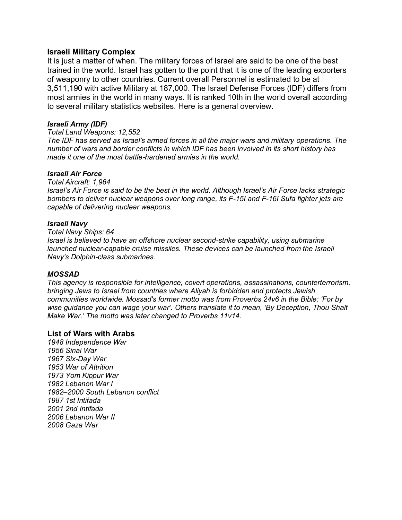#### **Israeli Military Complex**

It is just a matter of when. The military forces of Israel are said to be one of the best trained in the world. Israel has gotten to the point that it is one of the leading exporters of weaponry to other countries. Current overall Personnel is estimated to be at 3,511,190 with active Military at 187,000. The Israel Defense Forces (IDF) differs from most armies in the world in many ways. It is ranked 10th in the world overall according to several military statistics websites. Here is a general overview.

#### *Israeli Army (IDF)*

```
Total Land Weapons: 12,552
```
*The IDF has served as Israel's armed forces in all the major wars and military operations. The number of wars and border conflicts in which IDF has been involved in its short history has made it one of the most battle-hardened armies in the world.* 

#### *Israeli Air Force*

*Total Aircraft: 1,964 Israel's Air Force is said to be the best in the world. Although Israel's Air Force lacks strategic bombers to deliver nuclear weapons over long range, its F-15I and F-16I Sufa fighter jets are capable of delivering nuclear weapons.* 

#### *Israeli Navy*

*Total Navy Ships: 64 Israel is believed to have an offshore nuclear second-strike capability, using submarine launched nuclear-capable cruise missiles. These devices can be launched from the Israeli Navy's Dolphin-class submarines.* 

## *MOSSAD*

*This agency is responsible for intelligence, covert operations, assassinations, counterterrorism, bringing Jews to Israel from countries where Aliyah is forbidden and protects Jewish communities worldwide. Mossad's former motto was from Proverbs 24v6 in the Bible: 'For by wise guidance you can wage your war'. Others translate it to mean, 'By Deception, Thou Shalt Make War.' The motto was later changed to Proverbs 11v14.*

## **List of Wars with Arabs**

*1948 Independence War 1956 Sinai War 1967 Six-Day War 1953 War of Attrition 1973 Yom Kippur War 1982 Lebanon War I 1982–2000 South Lebanon conflict 1987 1st Intifada 2001 2nd Intifada 2006 Lebanon War II 2008 Gaza War*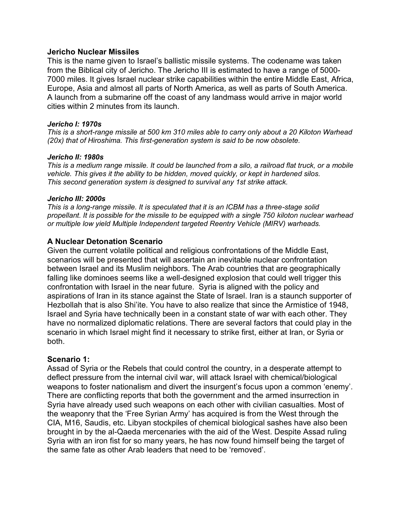## **Jericho Nuclear Missiles**

This is the name given to Israel's ballistic missile systems. The codename was taken from the Biblical city of Jericho. The Jericho III is estimated to have a range of 5000- 7000 miles. It gives Israel nuclear strike capabilities within the entire Middle East, Africa, Europe, Asia and almost all parts of North America, as well as parts of South America. A launch from a submarine off the coast of any landmass would arrive in major world cities within 2 minutes from its launch.

#### *Jericho I: 1970s*

*This is a short-range missile at 500 km 310 miles able to carry only about a 20 Kiloton Warhead (20x) that of Hiroshima. This first-generation system is said to be now obsolete.*

#### *Jericho II: 1980s*

*This is a medium range missile. It could be launched from a silo, a railroad flat truck, or a mobile vehicle. This gives it the ability to be hidden, moved quickly, or kept in hardened silos. This second generation system is designed to survival any 1st strike attack.* 

#### *Jericho III: 2000s*

*This is a long-range missile. It is speculated that it is an ICBM has a three-stage solid propellant. It is possible for the missile to be equipped with a single 750 kiloton nuclear warhead or multiple low yield Multiple Independent targeted Reentry Vehicle (MIRV) warheads.*

# **A Nuclear Detonation Scenario**

Given the current volatile political and religious confrontations of the Middle East, scenarios will be presented that will ascertain an inevitable nuclear confrontation between Israel and its Muslim neighbors. The Arab countries that are geographically falling like dominoes seems like a well-designed explosion that could well trigger this confrontation with Israel in the near future. Syria is aligned with the policy and aspirations of Iran in its stance against the State of Israel. Iran is a staunch supporter of Hezbollah that is also Shi'ite. You have to also realize that since the Armistice of 1948, Israel and Syria have technically been in a constant state of war with each other. They have no normalized diplomatic relations. There are several factors that could play in the scenario in which Israel might find it necessary to strike first, either at Iran, or Syria or both.

## **Scenario 1:**

Assad of Syria or the Rebels that could control the country, in a desperate attempt to deflect pressure from the internal civil war, will attack Israel with chemical/biological weapons to foster nationalism and divert the insurgent's focus upon a common 'enemy'. There are conflicting reports that both the government and the armed insurrection in Syria have already used such weapons on each other with civilian casualties. Most of the weaponry that the 'Free Syrian Army' has acquired is from the West through the CIA, M16, Saudis, etc. Libyan stockpiles of chemical biological sashes have also been brought in by the al-Qaeda mercenaries with the aid of the West. Despite Assad ruling Syria with an iron fist for so many years, he has now found himself being the target of the same fate as other Arab leaders that need to be 'removed'.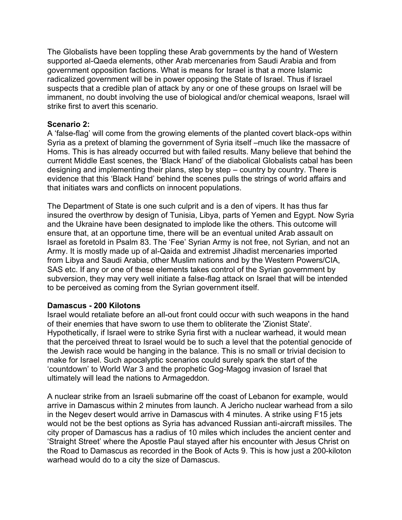The Globalists have been toppling these Arab governments by the hand of Western supported al-Qaeda elements, other Arab mercenaries from Saudi Arabia and from government opposition factions. What is means for Israel is that a more Islamic radicalized government will be in power opposing the State of Israel. Thus if Israel suspects that a credible plan of attack by any or one of these groups on Israel will be immanent, no doubt involving the use of biological and/or chemical weapons, Israel will strike first to avert this scenario.

# **Scenario 2:**

A 'false-flag' will come from the growing elements of the planted covert black-ops within Syria as a pretext of blaming the government of Syria itself –much like the massacre of Homs. This is has already occurred but with failed results. Many believe that behind the current Middle East scenes, the 'Black Hand' of the diabolical Globalists cabal has been designing and implementing their plans, step by step – country by country. There is evidence that this 'Black Hand' behind the scenes pulls the strings of world affairs and that initiates wars and conflicts on innocent populations.

The Department of State is one such culprit and is a den of vipers. It has thus far insured the overthrow by design of Tunisia, Libya, parts of Yemen and Egypt. Now Syria and the Ukraine have been designated to implode like the others. This outcome will ensure that, at an opportune time, there will be an eventual united Arab assault on Israel as foretold in Psalm 83. The 'Fee' Syrian Army is not free, not Syrian, and not an Army. It is mostly made up of al-Qaida and extremist Jihadist mercenaries imported from Libya and Saudi Arabia, other Muslim nations and by the Western Powers/CIA, SAS etc. If any or one of these elements takes control of the Syrian government by subversion, they may very well initiate a false-flag attack on Israel that will be intended to be perceived as coming from the Syrian government itself.

# **Damascus - 200 Kilotons**

Israel would retaliate before an all-out front could occur with such weapons in the hand of their enemies that have sworn to use them to obliterate the 'Zionist State'. Hypothetically, if Israel were to strike Syria first with a nuclear warhead, it would mean that the perceived threat to Israel would be to such a level that the potential genocide of the Jewish race would be hanging in the balance. This is no small or trivial decision to make for Israel. Such apocalyptic scenarios could surely spark the start of the 'countdown' to World War 3 and the prophetic Gog-Magog invasion of Israel that ultimately will lead the nations to Armageddon.

A nuclear strike from an Israeli submarine off the coast of Lebanon for example, would arrive in Damascus within 2 minutes from launch. A Jericho nuclear warhead from a silo in the Negev desert would arrive in Damascus with 4 minutes. A strike using F15 jets would not be the best options as Syria has advanced Russian anti-aircraft missiles. The city proper of Damascus has a radius of 10 miles which includes the ancient center and 'Straight Street' where the Apostle Paul stayed after his encounter with Jesus Christ on the Road to Damascus as recorded in the Book of Acts 9. This is how just a 200-kiloton warhead would do to a city the size of Damascus.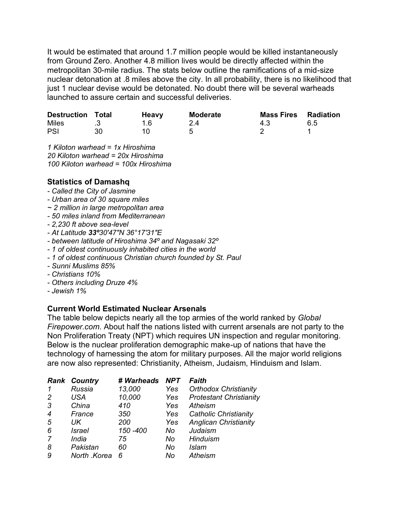It would be estimated that around 1.7 million people would be killed instantaneously from Ground Zero. Another 4.8 million lives would be directly affected within the metropolitan 30-mile radius. The stats below outline the ramifications of a mid-size nuclear detonation at .8 miles above the city. In all probability, there is no likelihood that just 1 nuclear devise would be detonated. No doubt there will be several warheads launched to assure certain and successful deliveries.

| <b>Destruction Total</b> | <b>Heavy</b> | Moderate | <b>Mass Fires Radiation</b> |     |
|--------------------------|--------------|----------|-----------------------------|-----|
| Miles                    |              | 2.4      | 4.3                         | 6.5 |
| PSI                      |              |          |                             |     |

*1 Kiloton warhead = 1x Hiroshima 20 Kiloton warhead = 20x Hiroshima 100 Kiloton warhead = 100x Hiroshima*

# **Statistics of Damashq**

- *- Called the City of Jasmine*
- *- Urban area of 30 square miles*
- *~ 2 million in large metropolitan area*
- *- 50 miles inland from Mediterranean*
- *- 2,230 ft above sea-level*
- *- At Latitude 33º30′47″N 36°17′31″E*
- *- between latitude of Hiroshima 34º and Nagasaki 32º*
- *- 1 of oldest continuously inhabited cities in the world*
- *- 1 of oldest continuous Christian church founded by St. Paul*
- *- Sunni Muslims 85%*
- *- Christians 10%*
- *- Others including Druze 4%*
- *- Jewish 1%*

# **Current World Estimated Nuclear Arsenals**

The table below depicts nearly all the top armies of the world ranked by *Global Firepower.com*. About half the nations listed with current arsenals are not party to the Non Proliferation Treaty (NPT) which requires UN inspection and regular monitoring. Below is the nuclear proliferation demographic make-up of nations that have the technology of harnessing the atom for military purposes. All the major world religions are now also represented: Christianity, Atheism, Judaism, Hinduism and Islam.

|                | <b>Rank Country</b> | # Warheads | <b>NPT</b> | Faith                          |
|----------------|---------------------|------------|------------|--------------------------------|
|                | Russia              | 13,000     | Yes        | <b>Orthodox Christianity</b>   |
| 2              | USA                 | 10,000     | Yes        | <b>Protestant Christianity</b> |
| 3              | China               | 410        | Yes        | Atheism                        |
| $\overline{4}$ | France              | 350        | Yes        | <b>Catholic Christianity</b>   |
| 5              | UK                  | 200        | Yes        | <b>Anglican Christianity</b>   |
| 6              | <i>Israel</i>       | 150 - 400  | No         | Judaism                        |
| 7              | India               | 75         | No         | Hinduism                       |
| 8              | Pakistan            | 60         | No         | Islam                          |
| 9              | North .Korea        | 6          | No         | Atheism                        |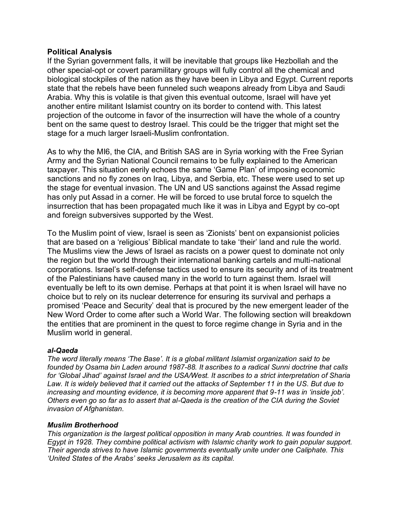# **Political Analysis**

If the Syrian government falls, it will be inevitable that groups like Hezbollah and the other special-opt or covert paramilitary groups will fully control all the chemical and biological stockpiles of the nation as they have been in Libya and Egypt. Current reports state that the rebels have been funneled such weapons already from Libya and Saudi Arabia. Why this is volatile is that given this eventual outcome, Israel will have yet another entire militant Islamist country on its border to contend with. This latest projection of the outcome in favor of the insurrection will have the whole of a country bent on the same quest to destroy Israel. This could be the trigger that might set the stage for a much larger Israeli-Muslim confrontation.

As to why the MI6, the CIA, and British SAS are in Syria working with the Free Syrian Army and the Syrian National Council remains to be fully explained to the American taxpayer. This situation eerily echoes the same 'Game Plan' of imposing economic sanctions and no fly zones on Iraq, Libya, and Serbia, etc. These were used to set up the stage for eventual invasion. The UN and US sanctions against the Assad regime has only put Assad in a corner. He will be forced to use brutal force to squelch the insurrection that has been propagated much like it was in Libya and Egypt by co-opt and foreign subversives supported by the West.

To the Muslim point of view, Israel is seen as 'Zionists' bent on expansionist policies that are based on a 'religious' Biblical mandate to take 'their' land and rule the world. The Muslims view the Jews of Israel as racists on a power quest to dominate not only the region but the world through their international banking cartels and multi-national corporations. Israel's self-defense tactics used to ensure its security and of its treatment of the Palestinians have caused many in the world to turn against them. Israel will eventually be left to its own demise. Perhaps at that point it is when Israel will have no choice but to rely on its nuclear deterrence for ensuring its survival and perhaps a promised 'Peace and Security' deal that is procured by the new emergent leader of the New Word Order to come after such a World War. The following section will breakdown the entities that are prominent in the quest to force regime change in Syria and in the Muslim world in general.

## *al-Qaeda*

*The word literally means 'The Base'. It is a global militant Islamist organization said to be founded by Osama bin Laden around 1987-88. It ascribes to a radical Sunni doctrine that calls for 'Global Jihad' against Israel and the USA/West. It ascribes to a strict interpretation of Sharia Law. It is widely believed that it carried out the attacks of September 11 in the US. But due to increasing and mounting evidence, it is becoming more apparent that 9-11 was in 'inside job'. Others even go so far as to assert that al-Qaeda is the creation of the CIA during the Soviet invasion of Afghanistan.*

## *Muslim Brotherhood*

*This organization is the largest political opposition in many Arab countries. It was founded in Egypt in 1928. They combine political activism with Islamic charity work to gain popular support. Their agenda strives to have Islamic governments eventually unite under one Caliphate. This 'United States of the Arabs' seeks Jerusalem as its capital.*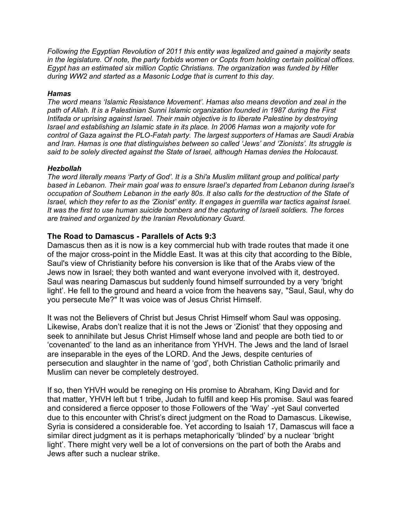*Following the Egyptian Revolution of 2011 this entity was legalized and gained a majority seats in the legislature. Of note, the party forbids women or Copts from holding certain political offices. Egypt has an estimated six million Coptic Christians. The organization was funded by Hitler during WW2 and started as a Masonic Lodge that is current to this day.*

#### *Hamas*

*The word means 'Islamic Resistance Movement'. Hamas also means devotion and zeal in the path of Allah. It is a Palestinian Sunni Islamic organization founded in 1987 during the First Intifada or uprising against Israel. Their main objective is to liberate Palestine by destroying Israel and establishing an Islamic state in its place. In 2006 Hamas won a majority vote for control of Gaza against the PLO-Fatah party. The largest supporters of Hamas are Saudi Arabia and Iran. Hamas is one that distinguishes between so called 'Jews' and 'Zionists'. Its struggle is said to be solely directed against the State of Israel, although Hamas denies the Holocaust.* 

#### *Hezbollah*

*The word literally means 'Party of God'. It is a Shi'a Muslim militant group and political party based in Lebanon. Their main goal was to ensure Israel's departed from Lebanon during Israel's occupation of Southern Lebanon in the early 80s. It also calls for the destruction of the State of Israel, which they refer to as the 'Zionist' entity. It engages in guerrilla war tactics against Israel. It was the first to use human suicide bombers and the capturing of Israeli soldiers. The forces are trained and organized by the Iranian Revolutionary Guard.* 

# **The Road to Damascus - Parallels of Acts 9:3**

Damascus then as it is now is a key commercial hub with trade routes that made it one of the major cross-point in the Middle East. It was at this city that according to the Bible, Saul's view of Christianity before his conversion is like that of the Arabs view of the Jews now in Israel; they both wanted and want everyone involved with it, destroyed. Saul was nearing Damascus but suddenly found himself surrounded by a very 'bright light'. He fell to the ground and heard a voice from the heavens say, "Saul, Saul, why do you persecute Me?" It was voice was of Jesus Christ Himself.

It was not the Believers of Christ but Jesus Christ Himself whom Saul was opposing. Likewise, Arabs don't realize that it is not the Jews or 'Zionist' that they opposing and seek to annihilate but Jesus Christ Himself whose land and people are both tied to or 'covenanted' to the land as an inheritance from YHVH. The Jews and the land of Israel are inseparable in the eyes of the LORD. And the Jews, despite centuries of persecution and slaughter in the name of 'god', both Christian Catholic primarily and Muslim can never be completely destroyed.

If so, then YHVH would be reneging on His promise to Abraham, King David and for that matter, YHVH left but 1 tribe, Judah to fulfill and keep His promise. Saul was feared and considered a fierce opposer to those Followers of the 'Way' -yet Saul converted due to this encounter with Christ's direct judgment on the Road to Damascus. Likewise, Syria is considered a considerable foe. Yet according to Isaiah 17, Damascus will face a similar direct judgment as it is perhaps metaphorically 'blinded' by a nuclear 'bright light'. There might very well be a lot of conversions on the part of both the Arabs and Jews after such a nuclear strike.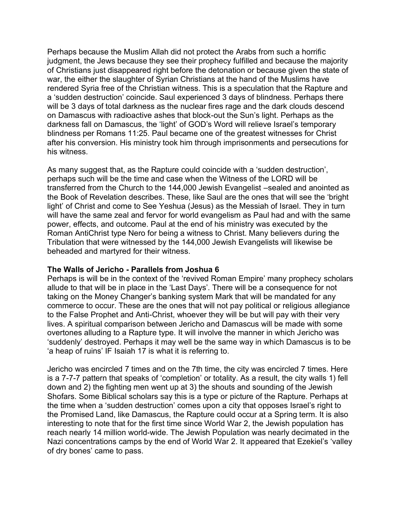Perhaps because the Muslim Allah did not protect the Arabs from such a horrific judgment, the Jews because they see their prophecy fulfilled and because the majority of Christians just disappeared right before the detonation or because given the state of war, the either the slaughter of Syrian Christians at the hand of the Muslims have rendered Syria free of the Christian witness. This is a speculation that the Rapture and a 'sudden destruction' coincide. Saul experienced 3 days of blindness. Perhaps there will be 3 days of total darkness as the nuclear fires rage and the dark clouds descend on Damascus with radioactive ashes that block-out the Sun's light. Perhaps as the darkness fall on Damascus, the 'light' of GOD's Word will relieve Israel's temporary blindness per Romans 11:25. Paul became one of the greatest witnesses for Christ after his conversion. His ministry took him through imprisonments and persecutions for his witness.

As many suggest that, as the Rapture could coincide with a 'sudden destruction', perhaps such will be the time and case when the Witness of the LORD will be transferred from the Church to the 144,000 Jewish Evangelist –sealed and anointed as the Book of Revelation describes. These, like Saul are the ones that will see the 'bright light' of Christ and come to See Yeshua (Jesus) as the Messiah of Israel. They in turn will have the same zeal and fervor for world evangelism as Paul had and with the same power, effects, and outcome. Paul at the end of his ministry was executed by the Roman AntiChrist type Nero for being a witness to Christ. Many believers during the Tribulation that were witnessed by the 144,000 Jewish Evangelists will likewise be beheaded and martyred for their witness.

## **The Walls of Jericho - Parallels from Joshua 6**

Perhaps is will be in the context of the 'revived Roman Empire' many prophecy scholars allude to that will be in place in the 'Last Days'. There will be a consequence for not taking on the Money Changer's banking system Mark that will be mandated for any commerce to occur. These are the ones that will not pay political or religious allegiance to the False Prophet and Anti-Christ, whoever they will be but will pay with their very lives. A spiritual comparison between Jericho and Damascus will be made with some overtones alluding to a Rapture type. It will involve the manner in which Jericho was 'suddenly' destroyed. Perhaps it may well be the same way in which Damascus is to be 'a heap of ruins' IF Isaiah 17 is what it is referring to.

Jericho was encircled 7 times and on the 7th time, the city was encircled 7 times. Here is a 7-7-7 pattern that speaks of 'completion' or totality. As a result, the city walls 1) fell down and 2) the fighting men went up at 3) the shouts and sounding of the Jewish Shofars. Some Biblical scholars say this is a type or picture of the Rapture. Perhaps at the time when a 'sudden destruction' comes upon a city that opposes Israel's right to the Promised Land, like Damascus, the Rapture could occur at a Spring term. It is also interesting to note that for the first time since World War 2, the Jewish population has reach nearly 14 million world-wide. The Jewish Population was nearly decimated in the Nazi concentrations camps by the end of World War 2. It appeared that Ezekiel's 'valley of dry bones' came to pass.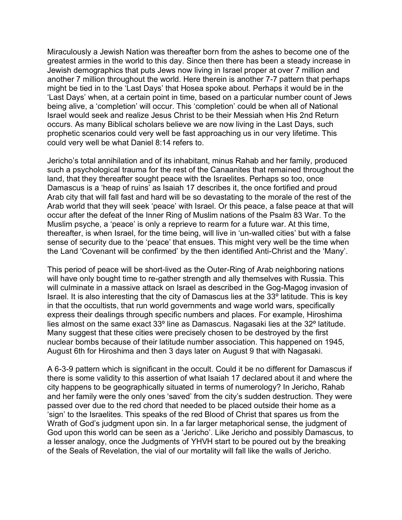Miraculously a Jewish Nation was thereafter born from the ashes to become one of the greatest armies in the world to this day. Since then there has been a steady increase in Jewish demographics that puts Jews now living in Israel proper at over 7 million and another 7 million throughout the world. Here therein is another 7-7 pattern that perhaps might be tied in to the 'Last Days' that Hosea spoke about. Perhaps it would be in the 'Last Days' when, at a certain point in time, based on a particular number count of Jews being alive, a 'completion' will occur. This 'completion' could be when all of National Israel would seek and realize Jesus Christ to be their Messiah when His 2nd Return occurs. As many Biblical scholars believe we are now living in the Last Days, such prophetic scenarios could very well be fast approaching us in our very lifetime. This could very well be what Daniel 8:14 refers to.

Jericho's total annihilation and of its inhabitant, minus Rahab and her family, produced such a psychological trauma for the rest of the Canaanites that remained throughout the land, that they thereafter sought peace with the Israelites. Perhaps so too, once Damascus is a 'heap of ruins' as Isaiah 17 describes it, the once fortified and proud Arab city that will fall fast and hard will be so devastating to the morale of the rest of the Arab world that they will seek 'peace' with Israel. Or this peace, a false peace at that will occur after the defeat of the Inner Ring of Muslim nations of the Psalm 83 War. To the Muslim psyche, a 'peace' is only a reprieve to rearm for a future war. At this time, thereafter, is when Israel, for the time being, will live in 'un-walled cities' but with a false sense of security due to the 'peace' that ensues. This might very well be the time when the Land 'Covenant will be confirmed' by the then identified Anti-Christ and the 'Many'.

This period of peace will be short-lived as the Outer-Ring of Arab neighboring nations will have only bought time to re-gather strength and ally themselves with Russia. This will culminate in a massive attack on Israel as described in the Gog-Magog invasion of Israel. It is also interesting that the city of Damascus lies at the 33º latitude. This is key in that the occultists, that run world governments and wage world wars, specifically express their dealings through specific numbers and places. For example, Hiroshima lies almost on the same exact 33º line as Damascus. Nagasaki lies at the 32º latitude. Many suggest that these cities were precisely chosen to be destroyed by the first nuclear bombs because of their latitude number association. This happened on 1945, August 6th for Hiroshima and then 3 days later on August 9 that with Nagasaki.

A 6-3-9 pattern which is significant in the occult. Could it be no different for Damascus if there is some validity to this assertion of what Isaiah 17 declared about it and where the city happens to be geographically situated in terms of numerology? In Jericho, Rahab and her family were the only ones 'saved' from the city's sudden destruction. They were passed over due to the red chord that needed to be placed outside their home as a 'sign' to the Israelites. This speaks of the red Blood of Christ that spares us from the Wrath of God's judgment upon sin. In a far larger metaphorical sense, the judgment of God upon this world can be seen as a 'Jericho'. Like Jericho and possibly Damascus, to a lesser analogy, once the Judgments of YHVH start to be poured out by the breaking of the Seals of Revelation, the vial of our mortality will fall like the walls of Jericho.